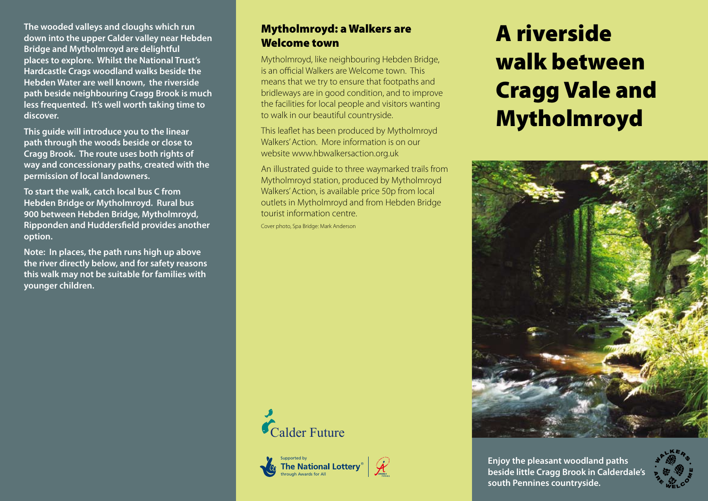**The wooded valleys and cloughs which run down into the upper Calder valley near Hebden Bridge and Mytholmroyd are delightful places to explore. Whilst the National Trust's Hardcastle Crags woodland walks beside the Hebden Water are well known, the riverside path beside neighbouring Cragg Brook is much less frequented. It's well worth taking time to discover.**

**This guide will introduce you to the linear path through the woods beside or close to Cragg Brook. The route uses both rights of way and concessionary paths, created with the permission of local landowners.**

**To start the walk, catch local bus C from Hebden Bridge or Mytholmroyd. Rural bus 900 between Hebden Bridge, Mytholmroyd, Ripponden and Huddersfield provides another option.** 

**Note: In places, the path runs high up above the river directly below, and for safety reasons this walk may not be suitable for families with younger children.** 

## Mytholmroyd: a Walkers are Welcome town

Mytholmroyd, like neighbouring Hebden Bridge, is an official Walkers are Welcome town. This means that we try to ensure that footpaths and bridleways are in good condition, and to improve the facilities for local people and visitors wanting to walk in our beautiful countryside.

This leaflet has been produced by Mytholmroyd Walkers' Action. More information is on our website www.hbwalkersaction.org.uk

An illustrated guide to three waymarked trails from Mytholmroyd station, produced by Mytholmroyd Walkers' Action, is available price 50p from local outlets in Mytholmroyd and from Hebden Bridge tourist information centre.

Cover photo, Spa Bridge: Mark Anderson



supported by<br>**The National Lotterv®** through Awards for All





**Enjoy the pleasant woodland paths beside little Cragg Brook in Calderdale's south Pennines countryside.**